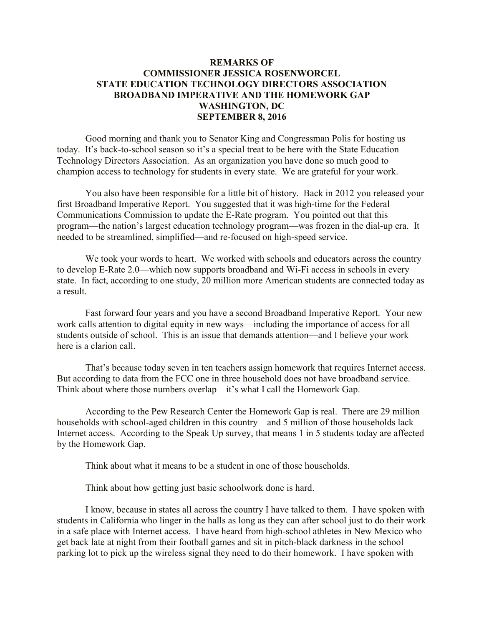## **REMARKS OF COMMISSIONER JESSICA ROSENWORCEL STATE EDUCATION TECHNOLOGY DIRECTORS ASSOCIATION BROADBAND IMPERATIVE AND THE HOMEWORK GAP WASHINGTON, DC SEPTEMBER 8, 2016**

Good morning and thank you to Senator King and Congressman Polis for hosting us today. It's back-to-school season so it's a special treat to be here with the State Education Technology Directors Association. As an organization you have done so much good to champion access to technology for students in every state. We are grateful for your work.

You also have been responsible for a little bit of history. Back in 2012 you released your first Broadband Imperative Report. You suggested that it was high-time for the Federal Communications Commission to update the E-Rate program. You pointed out that this program—the nation's largest education technology program—was frozen in the dial-up era. It needed to be streamlined, simplified—and re-focused on high-speed service.

We took your words to heart. We worked with schools and educators across the country to develop E-Rate 2.0—which now supports broadband and Wi-Fi access in schools in every state. In fact, according to one study, 20 million more American students are connected today as a result.

Fast forward four years and you have a second Broadband Imperative Report. Your new work calls attention to digital equity in new ways—including the importance of access for all students outside of school. This is an issue that demands attention—and I believe your work here is a clarion call.

That's because today seven in ten teachers assign homework that requires Internet access. But according to data from the FCC one in three household does not have broadband service. Think about where those numbers overlap—it's what I call the Homework Gap.

According to the Pew Research Center the Homework Gap is real. There are 29 million households with school-aged children in this country—and 5 million of those households lack Internet access. According to the Speak Up survey, that means 1 in 5 students today are affected by the Homework Gap.

Think about what it means to be a student in one of those households.

Think about how getting just basic schoolwork done is hard.

I know, because in states all across the country I have talked to them. I have spoken with students in California who linger in the halls as long as they can after school just to do their work in a safe place with Internet access. I have heard from high-school athletes in New Mexico who get back late at night from their football games and sit in pitch-black darkness in the school parking lot to pick up the wireless signal they need to do their homework. I have spoken with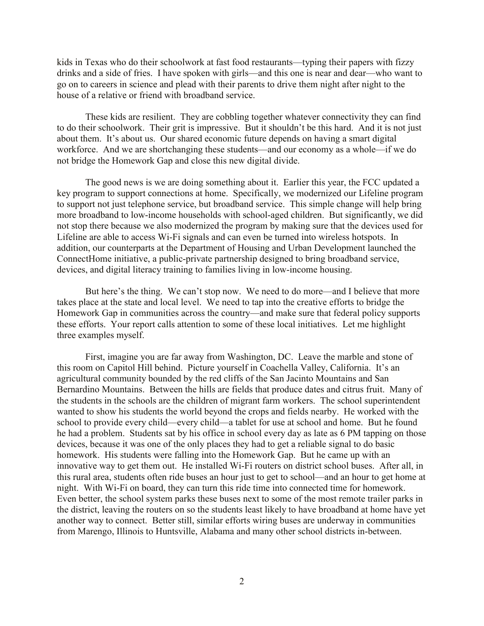kids in Texas who do their schoolwork at fast food restaurants—typing their papers with fizzy drinks and a side of fries. I have spoken with girls—and this one is near and dear—who want to go on to careers in science and plead with their parents to drive them night after night to the house of a relative or friend with broadband service.

These kids are resilient. They are cobbling together whatever connectivity they can find to do their schoolwork. Their grit is impressive. But it shouldn't be this hard. And it is not just about them. It's about us. Our shared economic future depends on having a smart digital workforce. And we are shortchanging these students—and our economy as a whole—if we do not bridge the Homework Gap and close this new digital divide.

The good news is we are doing something about it. Earlier this year, the FCC updated a key program to support connections at home. Specifically, we modernized our Lifeline program to support not just telephone service, but broadband service. This simple change will help bring more broadband to low-income households with school-aged children. But significantly, we did not stop there because we also modernized the program by making sure that the devices used for Lifeline are able to access Wi-Fi signals and can even be turned into wireless hotspots. In addition, our counterparts at the Department of Housing and Urban Development launched the ConnectHome initiative, a public-private partnership designed to bring broadband service, devices, and digital literacy training to families living in low-income housing.

But here's the thing. We can't stop now. We need to do more—and I believe that more takes place at the state and local level. We need to tap into the creative efforts to bridge the Homework Gap in communities across the country—and make sure that federal policy supports these efforts. Your report calls attention to some of these local initiatives. Let me highlight three examples myself.

First, imagine you are far away from Washington, DC. Leave the marble and stone of this room on Capitol Hill behind. Picture yourself in Coachella Valley, California. It's an agricultural community bounded by the red cliffs of the San Jacinto Mountains and San Bernardino Mountains. Between the hills are fields that produce dates and citrus fruit. Many of the students in the schools are the children of migrant farm workers. The school superintendent wanted to show his students the world beyond the crops and fields nearby. He worked with the school to provide every child—every child—a tablet for use at school and home. But he found he had a problem. Students sat by his office in school every day as late as 6 PM tapping on those devices, because it was one of the only places they had to get a reliable signal to do basic homework. His students were falling into the Homework Gap. But he came up with an innovative way to get them out. He installed Wi-Fi routers on district school buses. After all, in this rural area, students often ride buses an hour just to get to school—and an hour to get home at night. With Wi-Fi on board, they can turn this ride time into connected time for homework. Even better, the school system parks these buses next to some of the most remote trailer parks in the district, leaving the routers on so the students least likely to have broadband at home have yet another way to connect. Better still, similar efforts wiring buses are underway in communities from Marengo, Illinois to Huntsville, Alabama and many other school districts in-between.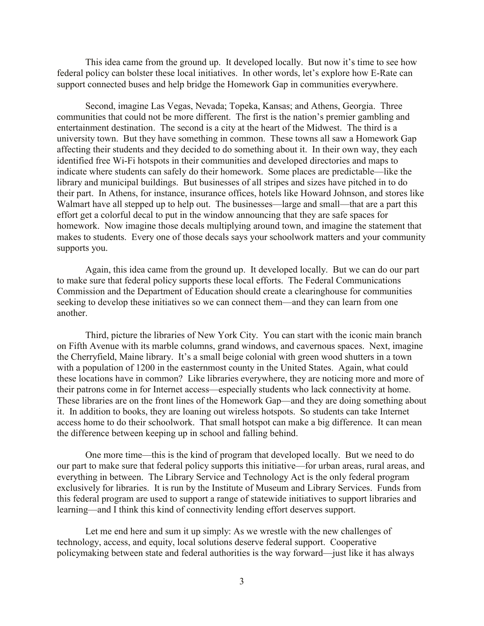This idea came from the ground up. It developed locally. But now it's time to see how federal policy can bolster these local initiatives. In other words, let's explore how E-Rate can support connected buses and help bridge the Homework Gap in communities everywhere.

Second, imagine Las Vegas, Nevada; Topeka, Kansas; and Athens, Georgia. Three communities that could not be more different. The first is the nation's premier gambling and entertainment destination. The second is a city at the heart of the Midwest. The third is a university town. But they have something in common. These towns all saw a Homework Gap affecting their students and they decided to do something about it. In their own way, they each identified free Wi-Fi hotspots in their communities and developed directories and maps to indicate where students can safely do their homework. Some places are predictable—like the library and municipal buildings. But businesses of all stripes and sizes have pitched in to do their part. In Athens, for instance, insurance offices, hotels like Howard Johnson, and stores like Walmart have all stepped up to help out. The businesses—large and small—that are a part this effort get a colorful decal to put in the window announcing that they are safe spaces for homework. Now imagine those decals multiplying around town, and imagine the statement that makes to students. Every one of those decals says your schoolwork matters and your community supports you.

Again, this idea came from the ground up. It developed locally. But we can do our part to make sure that federal policy supports these local efforts. The Federal Communications Commission and the Department of Education should create a clearinghouse for communities seeking to develop these initiatives so we can connect them—and they can learn from one another.

Third, picture the libraries of New York City. You can start with the iconic main branch on Fifth Avenue with its marble columns, grand windows, and cavernous spaces. Next, imagine the Cherryfield, Maine library. It's a small beige colonial with green wood shutters in a town with a population of 1200 in the easternmost county in the United States. Again, what could these locations have in common? Like libraries everywhere, they are noticing more and more of their patrons come in for Internet access—especially students who lack connectivity at home. These libraries are on the front lines of the Homework Gap—and they are doing something about it. In addition to books, they are loaning out wireless hotspots. So students can take Internet access home to do their schoolwork. That small hotspot can make a big difference. It can mean the difference between keeping up in school and falling behind.

One more time—this is the kind of program that developed locally. But we need to do our part to make sure that federal policy supports this initiative—for urban areas, rural areas, and everything in between. The Library Service and Technology Act is the only federal program exclusively for libraries. It is run by the Institute of Museum and Library Services. Funds from this federal program are used to support a range of statewide initiatives to support libraries and learning—and I think this kind of connectivity lending effort deserves support.

Let me end here and sum it up simply: As we wrestle with the new challenges of technology, access, and equity, local solutions deserve federal support. Cooperative policymaking between state and federal authorities is the way forward—just like it has always